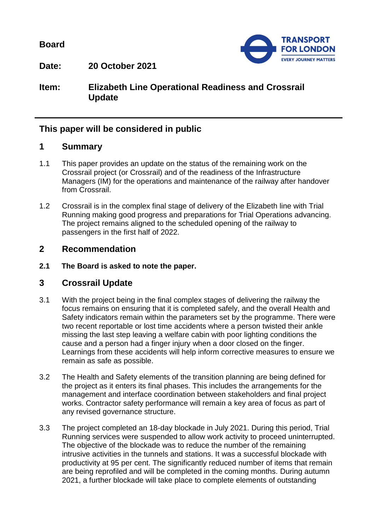**Board**



**Date: 20 October 2021**

**Item: Elizabeth Line Operational Readiness and Crossrail Update**

# **This paper will be considered in public**

### **1 Summary**

- 1.1 This paper provides an update on the status of the remaining work on the Crossrail project (or Crossrail) and of the readiness of the Infrastructure Managers (IM) for the operations and maintenance of the railway after handover from Crossrail.
- 1.2 Crossrail is in the complex final stage of delivery of the Elizabeth line with Trial Running making good progress and preparations for Trial Operations advancing. The project remains aligned to the scheduled opening of the railway to passengers in the first half of 2022.

# **2 Recommendation**

**2.1 The Board is asked to note the paper.**

## **3 Crossrail Update**

- 3.1 With the project being in the final complex stages of delivering the railway the focus remains on ensuring that it is completed safely, and the overall Health and Safety indicators remain within the parameters set by the programme. There were two recent reportable or lost time accidents where a person twisted their ankle missing the last step leaving a welfare cabin with poor lighting conditions the cause and a person had a finger injury when a door closed on the finger. Learnings from these accidents will help inform corrective measures to ensure we remain as safe as possible.
- 3.2 The Health and Safety elements of the transition planning are being defined for the project as it enters its final phases. This includes the arrangements for the management and interface coordination between stakeholders and final project works. Contractor safety performance will remain a key area of focus as part of any revised governance structure.
- 3.3 The project completed an 18-day blockade in July 2021. During this period, Trial Running services were suspended to allow work activity to proceed uninterrupted. The objective of the blockade was to reduce the number of the remaining intrusive activities in the tunnels and stations. It was a successful blockade with productivity at 95 per cent. The significantly reduced number of items that remain are being reprofiled and will be completed in the coming months. During autumn 2021, a further blockade will take place to complete elements of outstanding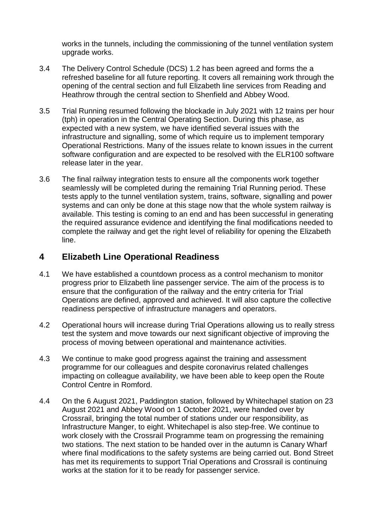works in the tunnels, including the commissioning of the tunnel ventilation system upgrade works.

- 3.4 The Delivery Control Schedule (DCS) 1.2 has been agreed and forms the a refreshed baseline for all future reporting. It covers all remaining work through the opening of the central section and full Elizabeth line services from Reading and Heathrow through the central section to Shenfield and Abbey Wood.
- 3.5 Trial Running resumed following the blockade in July 2021 with 12 trains per hour (tph) in operation in the Central Operating Section. During this phase, as expected with a new system, we have identified several issues with the infrastructure and signalling, some of which require us to implement temporary Operational Restrictions. Many of the issues relate to known issues in the current software configuration and are expected to be resolved with the ELR100 software release later in the year.
- 3.6 The final railway integration tests to ensure all the components work together seamlessly will be completed during the remaining Trial Running period. These tests apply to the tunnel ventilation system, trains, software, signalling and power systems and can only be done at this stage now that the whole system railway is available. This testing is coming to an end and has been successful in generating the required assurance evidence and identifying the final modifications needed to complete the railway and get the right level of reliability for opening the Elizabeth line.

# **4 Elizabeth Line Operational Readiness**

- 4.1 We have established a countdown process as a control mechanism to monitor progress prior to Elizabeth line passenger service. The aim of the process is to ensure that the configuration of the railway and the entry criteria for Trial Operations are defined, approved and achieved. It will also capture the collective readiness perspective of infrastructure managers and operators.
- 4.2 Operational hours will increase during Trial Operations allowing us to really stress test the system and move towards our next significant objective of improving the process of moving between operational and maintenance activities.
- 4.3 We continue to make good progress against the training and assessment programme for our colleagues and despite coronavirus related challenges impacting on colleague availability, we have been able to keep open the Route Control Centre in Romford.
- 4.4 On the 6 August 2021, Paddington station, followed by Whitechapel station on 23 August 2021 and Abbey Wood on 1 October 2021, were handed over by Crossrail, bringing the total number of stations under our responsibility, as Infrastructure Manger, to eight. Whitechapel is also step-free. We continue to work closely with the Crossrail Programme team on progressing the remaining two stations. The next station to be handed over in the autumn is Canary Wharf where final modifications to the safety systems are being carried out. Bond Street has met its requirements to support Trial Operations and Crossrail is continuing works at the station for it to be ready for passenger service.